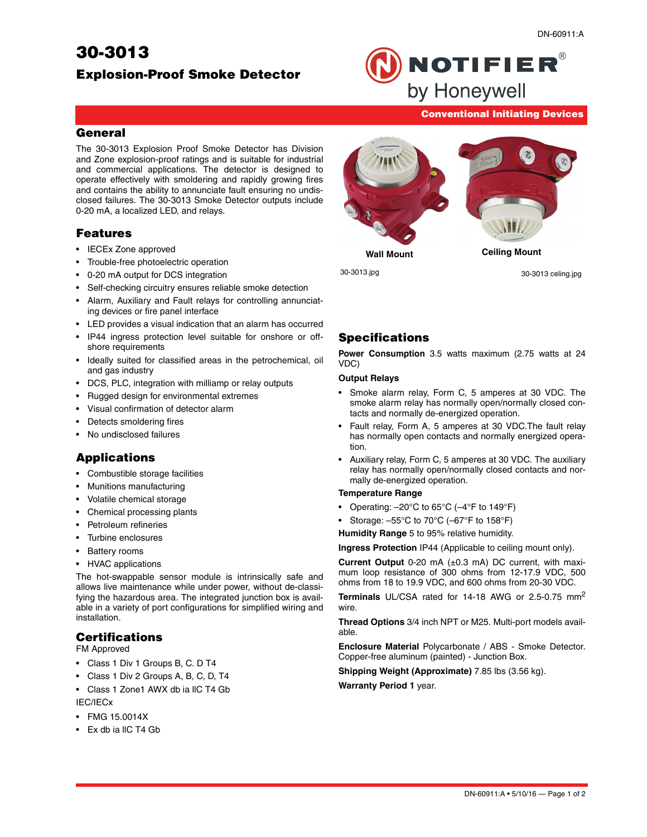# **30-3013**

#### **Conventional Initiating Devices**

**NOTIFIER®** 

by Honeywell

#### **General**

The 30-3013 Explosion Proof Smoke Detector has Division and Zone explosion-proof ratings and is suitable for industrial and commercial applications. The detector is designed to operate effectively with smoldering and rapidly growing fires and contains the ability to annunciate fault ensuring no undisclosed failures. The 30-3013 Smoke Detector outputs include 0-20 mA, a localized LED, and relays.

## **Features**

- IECEx Zone approved
- Trouble-free photoelectric operation
- 0-20 mA output for DCS integration
- Self-checking circuitry ensures reliable smoke detection
- Alarm, Auxiliary and Fault relays for controlling annunciating devices or fire panel interface
- LED provides a visual indication that an alarm has occurred
- IP44 ingress protection level suitable for onshore or offshore requirements
- Ideally suited for classified areas in the petrochemical, oil and gas industry
- DCS, PLC, integration with milliamp or relay outputs
- Rugged design for environmental extremes
- Visual confirmation of detector alarm
- Detects smoldering fires
- No undisclosed failures

## **Applications**

- Combustible storage facilities
- Munitions manufacturing
- Volatile chemical storage
- Chemical processing plants
- Petroleum refineries
- Turbine enclosures
- Battery rooms
- HVAC applications

The hot-swappable sensor module is intrinsically safe and allows live maintenance while under power, without de-classifying the hazardous area. The integrated junction box is available in a variety of port configurations for simplified wiring and installation.

## **Certifications**

FM Approved

- Class 1 Div 1 Groups B, C. D T4
- Class 1 Div 2 Groups A, B, C, D, T4
- Class 1 Zone1 AWX db ia llC T4 Gb IEC/IECx
- FMG 15.0014X
- Ex db ia llC T4 Gb



**Wall Mount Ceiling Mount**

30-3013.jpg 30-3013 celing.jpg

# **Specifications**

**Power Consumption** 3.5 watts maximum (2.75 watts at 24 VDC)

#### **Output Relays**

- Smoke alarm relay, Form C, 5 amperes at 30 VDC. The smoke alarm relay has normally open/normally closed contacts and normally de-energized operation.
- Fault relay, Form A, 5 amperes at 30 VDC.The fault relay has normally open contacts and normally energized operation.
- Auxiliary relay, Form C, 5 amperes at 30 VDC. The auxiliary relay has normally open/normally closed contacts and normally de-energized operation.

#### **Temperature Range**

- Operating:  $-20^{\circ}$ C to 65 $^{\circ}$ C ( $-4^{\circ}$ F to 149 $^{\circ}$ F)
- Storage:  $-55^{\circ}$ C to 70 $^{\circ}$ C ( $-67^{\circ}$ F to 158 $^{\circ}$ F)

**Humidity Range** 5 to 95% relative humidity.

**Ingress Protection** IP44 (Applicable to ceiling mount only).

**Current Output** 0-20 mA (±0.3 mA) DC current, with maximum loop resistance of 300 ohms from 12-17.9 VDC, 500 ohms from 18 to 19.9 VDC, and 600 ohms from 20-30 VDC.

**Terminals** UL/CSA rated for 14-18 AWG or 2.5-0.75 mm<sup>2</sup> wire.

**Thread Options** 3/4 inch NPT or M25. Multi-port models available.

**Enclosure Material** Polycarbonate / ABS - Smoke Detector. Copper-free aluminum (painted) - Junction Box.

**Shipping Weight (Approximate)** 7.85 lbs (3.56 kg).

**Warranty Period 1** year.